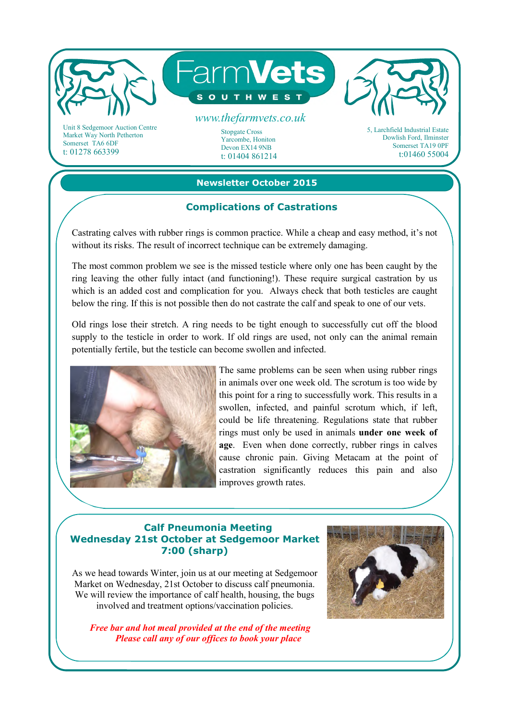

Market Way North Petherton Somerset TA6 6DF t: 01278 663399

#### Stopgate Cross Yarcombe, Honiton

Devon EX14 9NB t: 01404 861214 Dowlish Ford, Ilminster Somerset TA19 0PF t:01460 55004

## **Newsletter October 2015**

## **Complications of Castrations**

Castrating calves with rubber rings is common practice. While a cheap and easy method, it's not without its risks. The result of incorrect technique can be extremely damaging.

The most common problem we see is the missed testicle where only one has been caught by the ring leaving the other fully intact (and functioning!). These require surgical castration by us which is an added cost and complication for you. Always check that both testicles are caught below the ring. If this is not possible then do not castrate the calf and speak to one of our vets.

Old rings lose their stretch. A ring needs to be tight enough to successfully cut off the blood supply to the testicle in order to work. If old rings are used, not only can the animal remain potentially fertile, but the testicle can become swollen and infected.



The same problems can be seen when using rubber rings in animals over one week old. The scrotum is too wide by this point for a ring to successfully work. This results in a swollen, infected, and painful scrotum which, if left, could be life threatening. Regulations state that rubber rings must only be used in animals **under one week of age**. Even when done correctly, rubber rings in calves cause chronic pain. Giving Metacam at the point of castration significantly reduces this pain and also improves growth rates.

# **Calf Pneumonia Meeting Wednesday 21st October at Sedgemoor Market 7:00 (sharp)**

As we head towards Winter, join us at our meeting at Sedgemoor Market on Wednesday, 21st October to discuss calf pneumonia. We will review the importance of calf health, housing, the bugs involved and treatment options/vaccination policies.

*Free bar and hot meal provided at the end of the meeting* *Please call any of our offices to book your place*